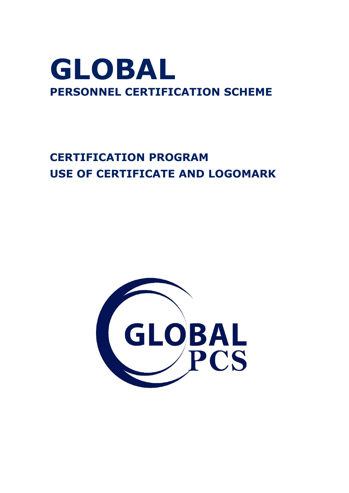## **GLOBAL PERSONNEL CERTIFICATION SCHEME**

## **CERTIFICATION PROGRAM USE OF CERTIFICATE AND LOGOMARK**